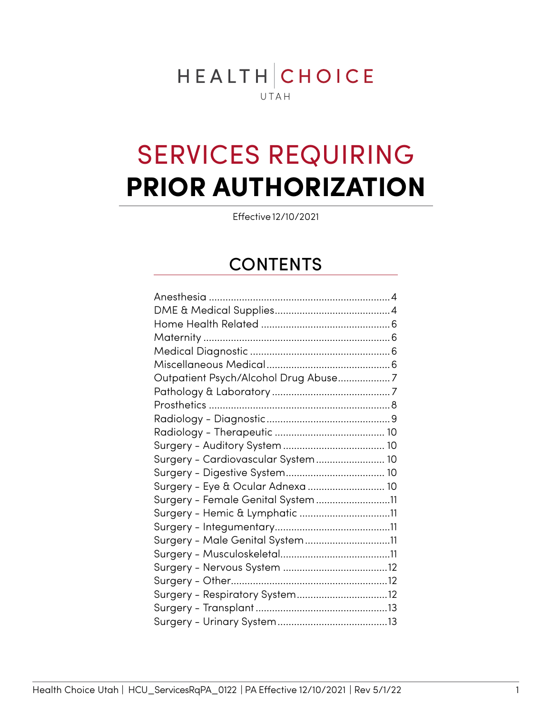# HEALTHCHOICE UTAH

# SERVICES REQUIRING **PRIOR AUTHORIZATION**

Effective 12/10/2021

## CONTENTS

| Outpatient Psych/Alcohol Drug Abuse7 |  |
|--------------------------------------|--|
|                                      |  |
|                                      |  |
|                                      |  |
|                                      |  |
|                                      |  |
| Surgery - Cardiovascular System 10   |  |
|                                      |  |
| Surgery - Eye & Ocular Adnexa  10    |  |
| Surgery - Female Genital System11    |  |
| Surgery - Hemic & Lymphatic 11       |  |
|                                      |  |
| Surgery - Male Genital System11      |  |
|                                      |  |
|                                      |  |
|                                      |  |
| Surgery - Respiratory System12       |  |
|                                      |  |
|                                      |  |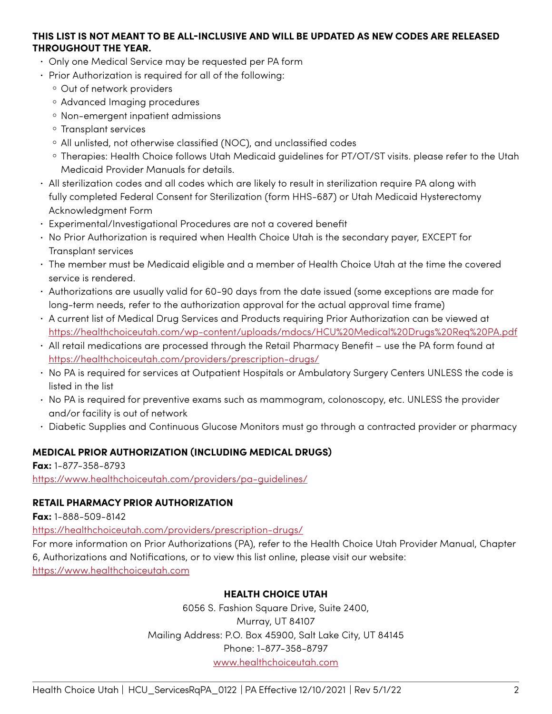#### **THIS LIST IS NOT MEANT TO BE ALL-INCLUSIVE AND WILL BE UPDATED AS NEW CODES ARE RELEASED THROUGHOUT THE YEAR.**

- Only one Medical Service may be requested per PA form
- Prior Authorization is required for all of the following:
	- Out of network providers
	- Advanced Imaging procedures
	- Non-emergent inpatient admissions
	- Transplant services
	- All unlisted, not otherwise classified (NOC), and unclassified codes
	- Therapies: Health Choice follows Utah Medicaid guidelines for PT/OT/ST visits. please refer to the Utah Medicaid Provider Manuals for details.
- All sterilization codes and all codes which are likely to result in sterilization require PA along with fully completed Federal Consent for Sterilization (form HHS-687) or Utah Medicaid Hysterectomy Acknowledgment Form
- Experimental/Investigational Procedures are not a covered benefit
- No Prior Authorization is required when Health Choice Utah is the secondary payer, EXCEPT for Transplant services
- The member must be Medicaid eligible and a member of Health Choice Utah at the time the covered service is rendered.
- Authorizations are usually valid for 60-90 days from the date issued (some exceptions are made for long-term needs, refer to the authorization approval for the actual approval time frame)
- A current list of Medical Drug Services and Products requiring Prior Authorization can be viewed at <https://healthchoiceutah.com/wp-content/uploads/mdocs/HCU%20Medical%20Drugs%20Req%20PA.pdf>
- All retail medications are processed through the Retail Pharmacy Benefit use the PA form found at <https://healthchoiceutah.com/providers/prescription-drugs/>
- No PA is required for services at Outpatient Hospitals or Ambulatory Surgery Centers UNLESS the code is listed in the list
- No PA is required for preventive exams such as mammogram, colonoscopy, etc. UNLESS the provider and/or facility is out of network
- Diabetic Supplies and Continuous Glucose Monitors must go through a contracted provider or pharmacy

### **MEDICAL PRIOR AUTHORIZATION (INCLUDING MEDICAL DRUGS)**

**Fax:** 1-877-358-8793 https://www.healthchoiceutah.com/providers/pa-guidelines/

### **RETAIL PHARMACY PRIOR AUTHORIZATION**

**Fax:** 1-888-509-8142

<https://healthchoiceutah.com/providers/prescription-drugs/>

For more information on Prior Authorizations (PA), refer to the Health Choice Utah Provider Manual, Chapter 6, Authorizations and Notifications, or to view this list online, please visit our website: [https://www.healthchoiceutah.com](https://www.healthchoiceutah.com/)

### **HEALTH CHOICE UTAH**

6056 S. Fashion Square Drive, Suite 2400, Murray, UT 84107 Mailing Address: P.O. Box 45900, Salt Lake City, UT 84145 Phone: 1-877-358-8797 www.healthchoiceutah.com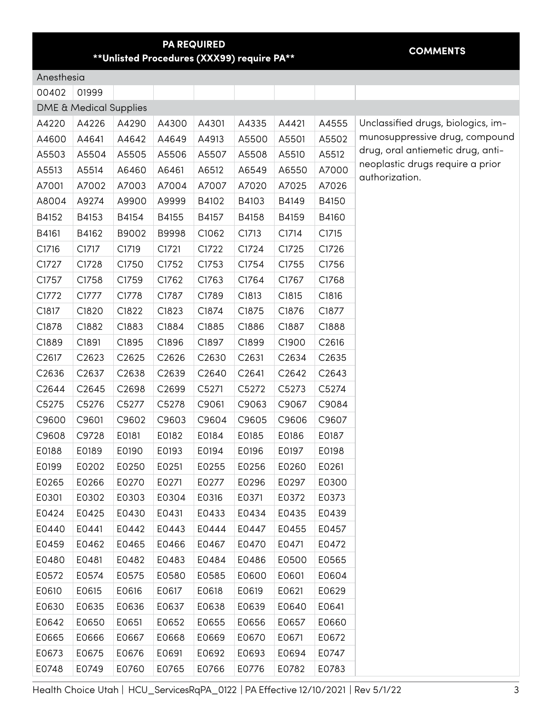#### **PA REQUIRED \*\*Unlisted Procedures (XXX99) require PA\*\* COMMENTS**

<span id="page-2-0"></span>Anesthesia

| 00402             | 01999                             |       |                    |       |       |                   |       |
|-------------------|-----------------------------------|-------|--------------------|-------|-------|-------------------|-------|
|                   | <b>DME &amp; Medical Supplies</b> |       |                    |       |       |                   |       |
| A4220             | A4226                             | A4290 | A4300              | A4301 | A4335 | A4421             | A4555 |
| A4600             | A4641                             | A4642 | A4649              | A4913 | A5500 | A5501             | A5502 |
| A5503             | A5504                             | A5505 | A5506              | A5507 | A5508 | A5510             | A5512 |
| A5513             | A5514                             | A6460 | A6461              | A6512 | A6549 | A6550             | A7000 |
| A7001             | A7002                             | A7003 | A7004              | A7007 | A7020 | A7025             | A7026 |
| A8004             | A9274                             | A9900 | A9999              | B4102 | B4103 | B4149             | B4150 |
| B4152             | B4153                             | B4154 | B4155              | B4157 | B4158 | B4159             | B4160 |
| B4161             | B4162                             | B9002 | B9998              | C1062 | C1713 | C1714             | C1715 |
| C1716             | C1717                             | C1719 | C1721              | C1722 | C1724 | C1725             | C1726 |
| C1727             | C1728                             | C1750 | C1752              | C1753 | C1754 | C1755             | C1756 |
| C1757             | C1758                             | C1759 | C1762              | C1763 | C1764 | C1767             | C1768 |
| C1772             | C1777                             | C1778 | C1787              | C1789 | C1813 | C1815             | C1816 |
| C1817             | C1820                             | C1822 | C1823              | C1874 | C1875 | C1876             | C1877 |
| C1878             | C1882                             | C1883 | C1884              | C1885 | C1886 | C1887             | C1888 |
| C1889             | C1891                             | C1895 | C1896              | C1897 | C1899 | C1900             | C2616 |
| C <sub>2617</sub> | C2623                             | C2625 | C <sub>2626</sub>  | C2630 | C2631 | C2634             | C2635 |
| C2636             | C <sub>26</sub> 37                | C2638 | C <sub>26</sub> 39 | C2640 | C2641 | C <sub>2642</sub> | C2643 |
| C2644             | C <sub>2645</sub>                 | C2698 | C <sub>2699</sub>  | C5271 | C5272 | C5273             | C5274 |
| C5275             | C5276                             | C5277 | C5278              | C9061 | C9063 | C9067             | C9084 |
| C9600             | C9601                             | C9602 | C9603              | C9604 | C9605 | C9606             | C9607 |
| C9608             | C9728                             | E0181 | E0182              | E0184 | E0185 | E0186             | E0187 |
| E0188             | E0189                             | E0190 | E0193              | E0194 | E0196 | E0197             | E0198 |
| E0199             | E0202                             | E0250 | E0251              | E0255 | E0256 | E0260             | E0261 |
| E0265             | E0266                             | E0270 | E0271              | E0277 | E0296 | E0297             | E0300 |
| E0301             | E0302                             | E0303 | E0304              | E0316 | E0371 | E0372             | E0373 |
| E0424             | E0425                             | E0430 | E0431              | E0433 | E0434 | E0435             | E0439 |
| E0440             | E0441                             | E0442 | E0443              | E0444 | E0447 | E0455             | E0457 |
| E0459             | E0462                             | E0465 | E0466              | E0467 | E0470 | E0471             | E0472 |
| E0480             | E0481                             | E0482 | E0483              | E0484 | E0486 | E0500             | E0565 |
| E0572             | E0574                             | E0575 | E0580              | E0585 | E0600 | E0601             | E0604 |
| E0610             | E0615                             | E0616 | E0617              | E0618 | E0619 | E0621             | E0629 |
| E0630             | E0635                             | E0636 | E0637              | E0638 | E0639 | E0640             | E0641 |
| E0642             | E0650                             | E0651 | E0652              | E0655 | E0656 | E0657             | E0660 |
| E0665             | E0666                             | E0667 | E0668              | E0669 | E0670 | E0671             | E0672 |
| E0673             | E0675                             | E0676 | E0691              | E0692 | E0693 | E0694             | E0747 |
| E0748             | E0749                             | E0760 | E0765              | E0766 | E0776 | E0782             | E0783 |

Unclassified drugs, biologics, immunosuppressive drug, compound drug, oral antiemetic drug, antineoplastic drugs require a prior authorization.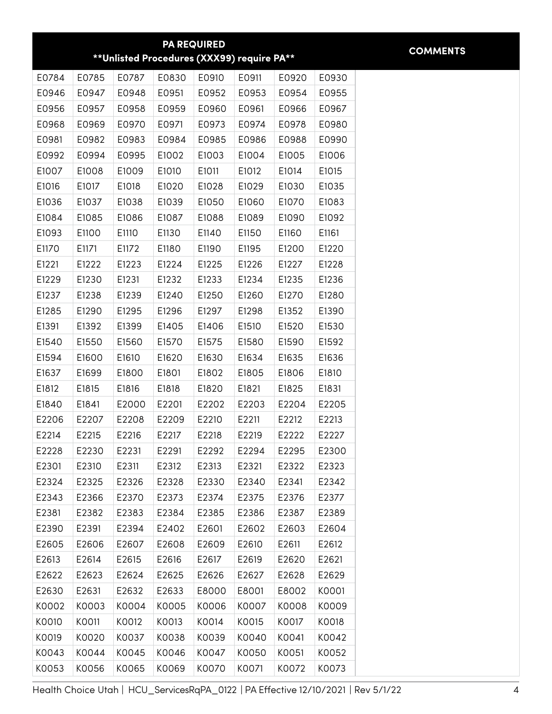|       |       |       |       | <b>PA REQUIRED</b> |                                             |       |       | <b>COMMENTS</b> |
|-------|-------|-------|-------|--------------------|---------------------------------------------|-------|-------|-----------------|
|       |       |       |       |                    | ** Unlisted Procedures (XXX99) require PA** |       |       |                 |
| E0784 | E0785 | E0787 | E0830 | E0910              | E0911                                       | E0920 | E0930 |                 |
| E0946 | E0947 | E0948 | E0951 | E0952              | E0953                                       | E0954 | E0955 |                 |
| E0956 | E0957 | E0958 | E0959 | E0960              | E0961                                       | E0966 | E0967 |                 |
| E0968 | E0969 | E0970 | E0971 | E0973              | E0974                                       | E0978 | E0980 |                 |
| E0981 | E0982 | E0983 | E0984 | E0985              | E0986                                       | E0988 | E0990 |                 |
| E0992 | E0994 | E0995 | E1002 | E1003              | E1004                                       | E1005 | E1006 |                 |
| E1007 | E1008 | E1009 | E1010 | E1011              | E1012                                       | E1014 | E1015 |                 |
| E1016 | E1017 | E1018 | E1020 | E1028              | E1029                                       | E1030 | E1035 |                 |
| E1036 | E1037 | E1038 | E1039 | E1050              | E1060                                       | E1070 | E1083 |                 |
| E1084 | E1085 | E1086 | E1087 | E1088              | E1089                                       | E1090 | E1092 |                 |
| E1093 | E1100 | E1110 | E1130 | E1140              | E1150                                       | E1160 | E1161 |                 |
| E1170 | E1171 | E1172 | E1180 | E1190              | E1195                                       | E1200 | E1220 |                 |
| E1221 | E1222 | E1223 | E1224 | E1225              | E1226                                       | E1227 | E1228 |                 |
| E1229 | E1230 | E1231 | E1232 | E1233              | E1234                                       | E1235 | E1236 |                 |
| E1237 | E1238 | E1239 | E1240 | E1250              | E1260                                       | E1270 | E1280 |                 |
| E1285 | E1290 | E1295 | E1296 | E1297              | E1298                                       | E1352 | E1390 |                 |
| E1391 | E1392 | E1399 | E1405 | E1406              | E1510                                       | E1520 | E1530 |                 |
| E1540 | E1550 | E1560 | E1570 | E1575              | E1580                                       | E1590 | E1592 |                 |
| E1594 | E1600 | E1610 | E1620 | E1630              | E1634                                       | E1635 | E1636 |                 |
| E1637 | E1699 | E1800 | E1801 | E1802              | E1805                                       | E1806 | E1810 |                 |
| E1812 | E1815 | E1816 | E1818 | E1820              | E1821                                       | E1825 | E1831 |                 |
| E1840 | E1841 | E2000 | E2201 | E2202              | E2203                                       | E2204 | E2205 |                 |
| E2206 | E2207 | E2208 | E2209 | E2210              | E2211                                       | E2212 | E2213 |                 |
| E2214 | E2215 | E2216 | E2217 | E2218              | E2219                                       | E2222 | E2227 |                 |
| E2228 | E2230 | E2231 | E2291 | E2292              | E2294                                       | E2295 | E2300 |                 |
| E2301 | E2310 | E2311 | E2312 | E2313              | E2321                                       | E2322 | E2323 |                 |
| E2324 | E2325 | E2326 | E2328 | E2330              | E2340                                       | E2341 | E2342 |                 |
| E2343 | E2366 | E2370 | E2373 | E2374              | E2375                                       | E2376 | E2377 |                 |
| E2381 | E2382 | E2383 | E2384 | E2385              | E2386                                       | E2387 | E2389 |                 |
| E2390 | E2391 | E2394 | E2402 | E2601              | E2602                                       | E2603 | E2604 |                 |
| E2605 | E2606 | E2607 | E2608 | E2609              | E2610                                       | E2611 | E2612 |                 |
| E2613 | E2614 | E2615 | E2616 | E2617              | E2619                                       | E2620 | E2621 |                 |
| E2622 | E2623 | E2624 | E2625 | E2626              | E2627                                       | E2628 | E2629 |                 |
| E2630 | E2631 | E2632 | E2633 | E8000              | E8001                                       | E8002 | K0001 |                 |
| K0002 | K0003 | K0004 | K0005 | K0006              | K0007                                       | K0008 | K0009 |                 |
| K0010 | K0011 | K0012 | K0013 | K0014              | K0015                                       | K0017 | K0018 |                 |
| K0019 | K0020 | K0037 | K0038 | K0039              | K0040                                       | K0041 | K0042 |                 |
| K0043 | K0044 | K0045 | K0046 | K0047              | K0050                                       | K0051 | K0052 |                 |
| K0053 | K0056 | K0065 | K0069 | K0070              | K0071                                       | K0072 | K0073 |                 |

Health Choice Utah | HCU\_ServicesRqPA\_0122 | PA Effective 12/10/2021 | Rev 5/1/22 4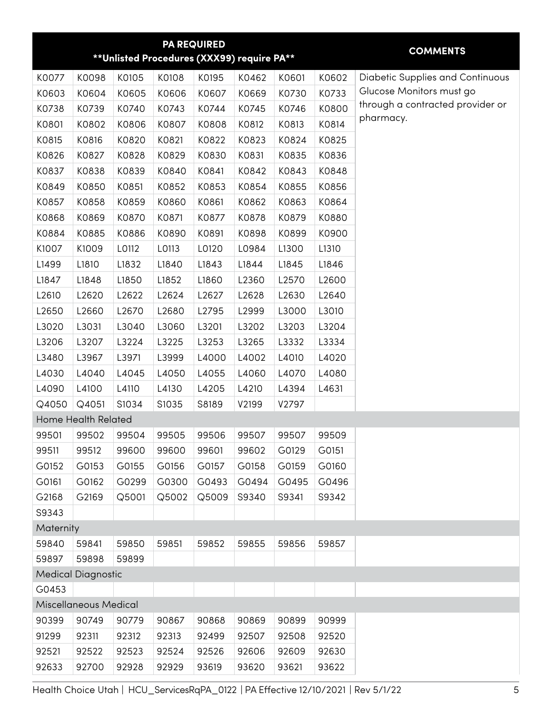<span id="page-4-0"></span>

|           |                           |       | ** Unlisted Procedures (XXX99) require PA** | <b>PA REQUIRED</b> |       |       |       | <b>COMMENTS</b>                               |
|-----------|---------------------------|-------|---------------------------------------------|--------------------|-------|-------|-------|-----------------------------------------------|
|           |                           |       |                                             |                    |       |       |       |                                               |
| K0077     | K0098                     | K0105 | K0108                                       | K0195              | K0462 | K0601 | K0602 | <b>Diabetic Supplies and Continuous</b>       |
| K0603     | K0604                     | K0605 | K0606                                       | K0607              | K0669 | K0730 | K0733 | Glucose Monitors must go                      |
| K0738     | K0739                     | K0740 | K0743                                       | K0744              | K0745 | K0746 | K0800 | through a contracted provider or<br>pharmacy. |
| K0801     | K0802                     | K0806 | K0807                                       | K0808              | K0812 | K0813 | K0814 |                                               |
| K0815     | K0816                     | K0820 | K0821                                       | K0822              | K0823 | K0824 | K0825 |                                               |
| K0826     | K0827                     | K0828 | K0829                                       | K0830              | K0831 | K0835 | K0836 |                                               |
| K0837     | K0838                     | K0839 | K0840                                       | K0841              | K0842 | K0843 | K0848 |                                               |
| K0849     | K0850                     | K0851 | K0852                                       | K0853              | K0854 | K0855 | K0856 |                                               |
| K0857     | K0858                     | K0859 | K0860                                       | K0861              | K0862 | K0863 | K0864 |                                               |
| K0868     | K0869                     | K0870 | K0871                                       | K0877              | K0878 | K0879 | K0880 |                                               |
| K0884     | K0885                     | K0886 | K0890                                       | K0891              | K0898 | K0899 | K0900 |                                               |
| K1007     | K1009                     | L0112 | L0113                                       | L0120              | L0984 | L1300 | L1310 |                                               |
| L1499     | L1810                     | L1832 | L1840                                       | L1843              | L1844 | L1845 | L1846 |                                               |
| L1847     | L1848                     | L1850 | L1852                                       | L1860              | L2360 | L2570 | L2600 |                                               |
| L2610     | L2620                     | L2622 | L2624                                       | L2627              | L2628 | L2630 | L2640 |                                               |
| L2650     | L2660                     | L2670 | L2680                                       | L2795              | L2999 | L3000 | L3010 |                                               |
| L3020     | L3031                     | L3040 | L3060                                       | L3201              | L3202 | L3203 | L3204 |                                               |
| L3206     | L3207                     | L3224 | L3225                                       | L3253              | L3265 | L3332 | L3334 |                                               |
| L3480     | L3967                     | L3971 | L3999                                       | L4000              | L4002 | L4010 | L4020 |                                               |
| L4030     | L4040                     | L4045 | L4050                                       | L4055              | L4060 | L4070 | L4080 |                                               |
| L4090     | L4100                     | L4110 | L4130                                       | L4205              | L4210 | L4394 | L4631 |                                               |
| Q4050     | Q4051                     | S1034 | S1035                                       | S8189              | V2199 | V2797 |       |                                               |
|           | Home Health Related       |       |                                             |                    |       |       |       |                                               |
| 99501     | 99502                     | 99504 | 99505                                       | 99506              | 99507 | 99507 | 99509 |                                               |
| 99511     | 99512                     | 99600 | 99600                                       | 99601              | 99602 | G0129 | G0151 |                                               |
| G0152     | G0153                     | G0155 | G0156                                       | G0157              | G0158 | G0159 | G0160 |                                               |
| G0161     | G0162                     | G0299 | G0300                                       | G0493              | G0494 | G0495 | G0496 |                                               |
| G2168     | G2169                     | Q5001 | Q5002                                       | Q5009              | S9340 | S9341 | S9342 |                                               |
| S9343     |                           |       |                                             |                    |       |       |       |                                               |
| Maternity |                           |       |                                             |                    |       |       |       |                                               |
| 59840     | 59841                     | 59850 | 59851                                       | 59852              | 59855 | 59856 | 59857 |                                               |
| 59897     | 59898                     | 59899 |                                             |                    |       |       |       |                                               |
|           | <b>Medical Diagnostic</b> |       |                                             |                    |       |       |       |                                               |
| G0453     |                           |       |                                             |                    |       |       |       |                                               |
|           | Miscellaneous Medical     |       |                                             |                    |       |       |       |                                               |
| 90399     | 90749                     | 90779 | 90867                                       | 90868              | 90869 | 90899 | 90999 |                                               |
| 91299     | 92311                     | 92312 | 92313                                       | 92499              | 92507 | 92508 | 92520 |                                               |
| 92521     | 92522                     | 92523 | 92524                                       | 92526              | 92606 | 92609 | 92630 |                                               |
| 92633     | 92700                     | 92928 | 92929                                       | 93619              | 93620 | 93621 | 93622 |                                               |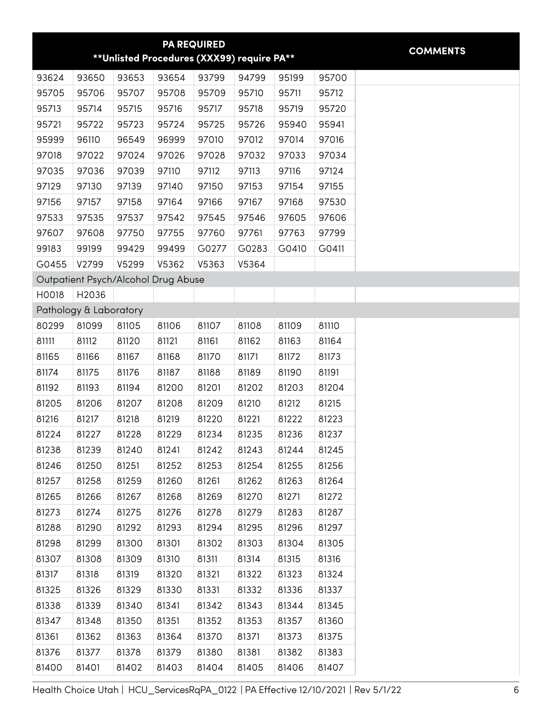<span id="page-5-0"></span>

|       |                        |       |                                             | <b>PA REQUIRED</b> |       |       |       |
|-------|------------------------|-------|---------------------------------------------|--------------------|-------|-------|-------|
|       |                        |       | ** Unlisted Procedures (XXX99) require PA** |                    |       |       |       |
| 93624 | 93650                  | 93653 | 93654                                       | 93799              | 94799 | 95199 | 95700 |
| 95705 | 95706                  | 95707 | 95708                                       | 95709              | 95710 | 95711 | 95712 |
| 95713 | 95714                  | 95715 | 95716                                       | 95717              | 95718 | 95719 | 95720 |
| 95721 | 95722                  | 95723 | 95724                                       | 95725              | 95726 | 95940 | 95941 |
| 95999 | 96110                  | 96549 | 96999                                       | 97010              | 97012 | 97014 | 97016 |
| 97018 | 97022                  | 97024 | 97026                                       | 97028              | 97032 | 97033 | 97034 |
| 97035 | 97036                  | 97039 | 97110                                       | 97112              | 97113 | 97116 | 97124 |
| 97129 | 97130                  | 97139 | 97140                                       | 97150              | 97153 | 97154 | 97155 |
| 97156 | 97157                  | 97158 | 97164                                       | 97166              | 97167 | 97168 | 97530 |
| 97533 | 97535                  | 97537 | 97542                                       | 97545              | 97546 | 97605 | 97606 |
| 97607 | 97608                  | 97750 | 97755                                       | 97760              | 97761 | 97763 | 97799 |
| 99183 | 99199                  | 99429 | 99499                                       | G0277              | G0283 | G0410 | G0411 |
| G0455 | V2799                  | V5299 | V5362                                       | V5363              | V5364 |       |       |
|       |                        |       | Outpatient Psych/Alcohol Drug Abuse         |                    |       |       |       |
| H0018 | H2036                  |       |                                             |                    |       |       |       |
|       | Pathology & Laboratory |       |                                             |                    |       |       |       |
| 80299 | 81099                  | 81105 | 81106                                       | 81107              | 81108 | 81109 | 81110 |
| 81111 | 81112                  | 81120 | 81121                                       | 81161              | 81162 | 81163 | 81164 |
| 81165 | 81166                  | 81167 | 81168                                       | 81170              | 81171 | 81172 | 81173 |
| 81174 | 81175                  | 81176 | 81187                                       | 81188              | 81189 | 81190 | 81191 |
| 81192 | 81193                  | 81194 | 81200                                       | 81201              | 81202 | 81203 | 81204 |
| 81205 | 81206                  | 81207 | 81208                                       | 81209              | 81210 | 81212 | 81215 |
| 81216 | 81217                  | 81218 | 81219                                       | 81220              | 81221 | 81222 | 81223 |
| 81224 | 81227                  | 81228 | 81229                                       | 81234              | 81235 | 81236 | 81237 |
| 81238 | 81239                  | 81240 | 81241                                       | 81242              | 81243 | 81244 | 81245 |
| 81246 | 81250                  | 81251 | 81252                                       | 81253              | 81254 | 81255 | 81256 |
| 81257 | 81258                  | 81259 | 81260                                       | 81261              | 81262 | 81263 | 81264 |
| 81265 | 81266                  | 81267 | 81268                                       | 81269              | 81270 | 81271 | 81272 |
| 81273 | 81274                  | 81275 | 81276                                       | 81278              | 81279 | 81283 | 81287 |
| 81288 | 81290                  | 81292 | 81293                                       | 81294              | 81295 | 81296 | 81297 |
| 81298 | 81299                  | 81300 | 81301                                       | 81302              | 81303 | 81304 | 81305 |
| 81307 | 81308                  | 81309 | 81310                                       | 81311              | 81314 | 81315 | 81316 |
| 81317 | 81318                  | 81319 | 81320                                       | 81321              | 81322 | 81323 | 81324 |
| 81325 | 81326                  | 81329 | 81330                                       | 81331              | 81332 | 81336 | 81337 |
| 81338 | 81339                  | 81340 | 81341                                       | 81342              | 81343 | 81344 | 81345 |
| 81347 | 81348                  | 81350 | 81351                                       | 81352              | 81353 | 81357 | 81360 |
| 81361 | 81362                  | 81363 | 81364                                       | 81370              | 81371 | 81373 | 81375 |
| 81376 | 81377                  | 81378 | 81379                                       | 81380              | 81381 | 81382 | 81383 |
| 81400 | 81401                  | 81402 | 81403                                       | 81404              | 81405 | 81406 | 81407 |

Health Choice Utah | HCU\_ServicesRqPA\_0122 | PA Effective 12/10/2021 | Rev 5/1/22 6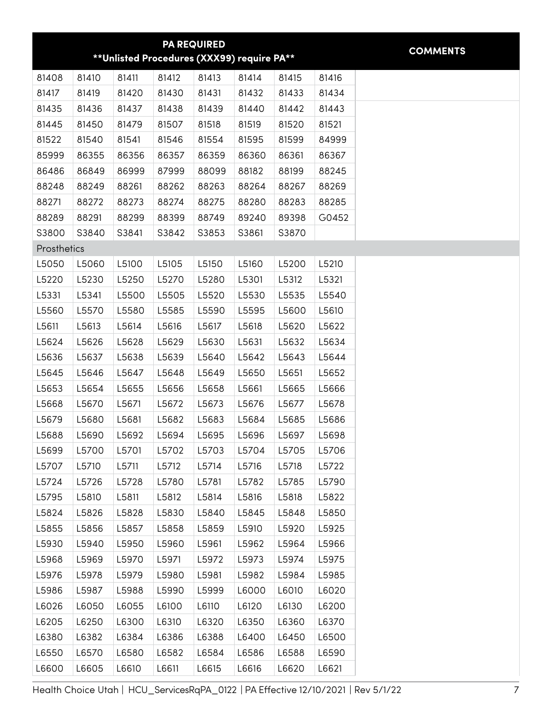<span id="page-6-0"></span>

|             |       |       |       | <b>PA REQUIRED</b>                          |       |       |       |
|-------------|-------|-------|-------|---------------------------------------------|-------|-------|-------|
|             |       |       |       | ** Unlisted Procedures (XXX99) require PA** |       |       |       |
| 81408       | 81410 | 81411 | 81412 | 81413                                       | 81414 | 81415 | 81416 |
| 81417       | 81419 | 81420 | 81430 | 81431                                       | 81432 | 81433 | 81434 |
| 81435       | 81436 | 81437 | 81438 | 81439                                       | 81440 | 81442 | 81443 |
| 81445       | 81450 | 81479 | 81507 | 81518                                       | 81519 | 81520 | 81521 |
| 81522       | 81540 | 81541 | 81546 | 81554                                       | 81595 | 81599 | 84999 |
| 85999       | 86355 | 86356 | 86357 | 86359                                       | 86360 | 86361 | 86367 |
| 86486       | 86849 | 86999 | 87999 | 88099                                       | 88182 | 88199 | 88245 |
| 88248       | 88249 | 88261 | 88262 | 88263                                       | 88264 | 88267 | 88269 |
| 88271       | 88272 | 88273 | 88274 | 88275                                       | 88280 | 88283 | 88285 |
| 88289       | 88291 | 88299 | 88399 | 88749                                       | 89240 | 89398 | G0452 |
| S3800       | S3840 | S3841 | S3842 | S3853                                       | S3861 | S3870 |       |
| Prosthetics |       |       |       |                                             |       |       |       |
| L5050       | L5060 | L5100 | L5105 | L5150                                       | L5160 | L5200 | L5210 |
| L5220       | L5230 | L5250 | L5270 | L5280                                       | L5301 | L5312 | L5321 |
| L5331       | L5341 | L5500 | L5505 | L5520                                       | L5530 | L5535 | L5540 |
| L5560       | L5570 | L5580 | L5585 | L5590                                       | L5595 | L5600 | L5610 |
| L5611       | L5613 | L5614 | L5616 | L5617                                       | L5618 | L5620 | L5622 |
| L5624       | L5626 | L5628 | L5629 | L5630                                       | L5631 | L5632 | L5634 |
| L5636       | L5637 | L5638 | L5639 | L5640                                       | L5642 | L5643 | L5644 |
| L5645       | L5646 | L5647 | L5648 | L5649                                       | L5650 | L5651 | L5652 |
| L5653       | L5654 | L5655 | L5656 | L5658                                       | L5661 | L5665 | L5666 |
| L5668       | L5670 | L5671 | L5672 | L5673                                       | L5676 | L5677 | L5678 |
| L5679       | L5680 | L5681 | L5682 | L5683                                       | L5684 | L5685 | L5686 |
| L5688       | L5690 | L5692 | L5694 | L5695                                       | L5696 | L5697 | L5698 |
| L5699       | L5700 | L5701 | L5702 | L5703                                       | L5704 | L5705 | L5706 |
| L5707       | L5710 | L5711 | L5712 | L5714                                       | L5716 | L5718 | L5722 |
| L5724       | L5726 | L5728 | L5780 | L5781                                       | L5782 | L5785 | L5790 |
| L5795       | L5810 | L5811 | L5812 | L5814                                       | L5816 | L5818 | L5822 |
| L5824       | L5826 | L5828 | L5830 | L5840                                       | L5845 | L5848 | L5850 |
| L5855       | L5856 | L5857 | L5858 | L5859                                       | L5910 | L5920 | L5925 |
| L5930       | L5940 | L5950 | L5960 | L5961                                       | L5962 | L5964 | L5966 |
| L5968       | L5969 | L5970 | L5971 | L5972                                       | L5973 | L5974 | L5975 |
| L5976       | L5978 | L5979 | L5980 | L5981                                       | L5982 | L5984 | L5985 |
| L5986       | L5987 | L5988 | L5990 | L5999                                       | L6000 | L6010 | L6020 |
| L6026       | L6050 | L6055 | L6100 | L6110                                       | L6120 | L6130 | L6200 |
| L6205       | L6250 | L6300 | L6310 | L6320                                       | L6350 | L6360 | L6370 |
| L6380       | L6382 | L6384 | L6386 | L6388                                       | L6400 | L6450 | L6500 |
| L6550       | L6570 | L6580 | L6582 | L6584                                       | L6586 | L6588 | L6590 |
| L6600       | L6605 | L6610 | L6611 | L6615                                       | L6616 | L6620 | L6621 |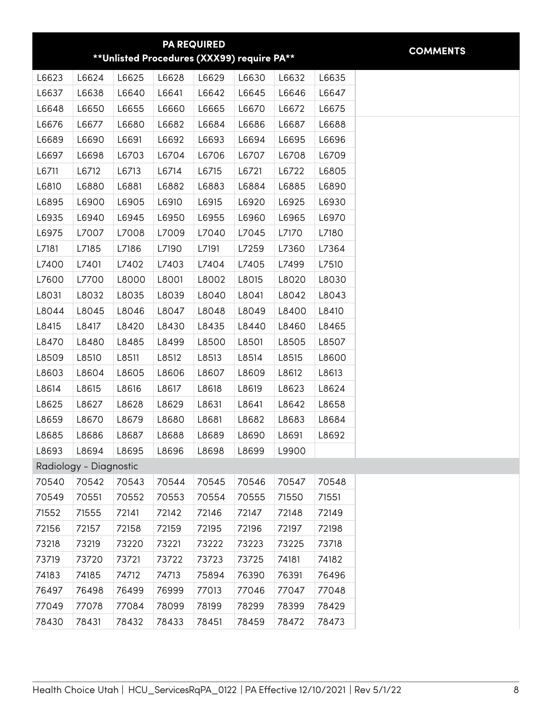<span id="page-7-0"></span>

|       |                        |       | ** Unlisted Procedures (XXX99) require PA** | <b>PA REQUIRED</b> |       |       |       | <b>COMMENTS</b> |
|-------|------------------------|-------|---------------------------------------------|--------------------|-------|-------|-------|-----------------|
| L6623 | L6624                  | L6625 | L6628                                       | L6629              | L6630 | L6632 | L6635 |                 |
| L6637 | L6638                  | L6640 | L6641                                       | L6642              | L6645 | L6646 | L6647 |                 |
| L6648 | L6650                  | L6655 | L6660                                       | L6665              | L6670 | L6672 | L6675 |                 |
| L6676 | L6677                  | L6680 | L6682                                       | L6684              | L6686 | L6687 | L6688 |                 |
| L6689 | L6690                  | L6691 | L6692                                       | L6693              | L6694 | L6695 | L6696 |                 |
| L6697 | L6698                  | L6703 | L6704                                       | L6706              | L6707 | L6708 | L6709 |                 |
| L6711 | L6712                  | L6713 | L6714                                       | L6715              | L6721 | L6722 | L6805 |                 |
| L6810 | L6880                  | L6881 | L6882                                       | L6883              | L6884 | L6885 | L6890 |                 |
| L6895 | L6900                  | L6905 | L6910                                       | L6915              | L6920 | L6925 | L6930 |                 |
| L6935 | L6940                  | L6945 | L6950                                       | L6955              | L6960 | L6965 | L6970 |                 |
| L6975 | L7007                  | L7008 | L7009                                       | L7040              | L7045 | L7170 | L7180 |                 |
| L7181 | L7185                  | L7186 | L7190                                       | L7191              | L7259 | L7360 | L7364 |                 |
| L7400 | L7401                  | L7402 | L7403                                       | L7404              | L7405 | L7499 | L7510 |                 |
| L7600 | L7700                  | L8000 | L8001                                       | L8002              | L8015 | L8020 | L8030 |                 |
| L8031 | L8032                  | L8035 | L8039                                       | L8040              | L8041 | L8042 | L8043 |                 |
| L8044 | L8045                  | L8046 | L8047                                       | L8048              | L8049 | L8400 | L8410 |                 |
| L8415 | L8417                  | L8420 | L8430                                       | L8435              | L8440 | L8460 | L8465 |                 |
| L8470 | L8480                  | L8485 | L8499                                       | L8500              | L8501 | L8505 | L8507 |                 |
| L8509 | L8510                  | L8511 | L8512                                       | L8513              | L8514 | L8515 | L8600 |                 |
| L8603 | L8604                  | L8605 | L8606                                       | L8607              | L8609 | L8612 | L8613 |                 |
| L8614 | L8615                  | L8616 | L8617                                       | L8618              | L8619 | L8623 | L8624 |                 |
| L8625 | L8627                  | L8628 | L8629                                       | L8631              | L8641 | L8642 | L8658 |                 |
| L8659 | L8670                  | L8679 | L8680                                       | L8681              | L8682 | L8683 | L8684 |                 |
| L8685 | L8686                  | L8687 | L8688                                       | L8689              | L8690 | L8691 | L8692 |                 |
| L8693 | L8694                  | L8695 | L8696                                       | L8698              | L8699 | L9900 |       |                 |
|       | Radiology - Diagnostic |       |                                             |                    |       |       |       |                 |
| 70540 | 70542                  | 70543 | 70544                                       | 70545              | 70546 | 70547 | 70548 |                 |
| 70549 | 70551                  | 70552 | 70553                                       | 70554              | 70555 | 71550 | 71551 |                 |
| 71552 | 71555                  | 72141 | 72142                                       | 72146              | 72147 | 72148 | 72149 |                 |
| 72156 | 72157                  | 72158 | 72159                                       | 72195              | 72196 | 72197 | 72198 |                 |
| 73218 | 73219                  | 73220 | 73221                                       | 73222              | 73223 | 73225 | 73718 |                 |
| 73719 | 73720                  | 73721 | 73722                                       | 73723              | 73725 | 74181 | 74182 |                 |
| 74183 | 74185                  | 74712 | 74713                                       | 75894              | 76390 | 76391 | 76496 |                 |
| 76497 | 76498                  | 76499 | 76999                                       | 77013              | 77046 | 77047 | 77048 |                 |
| 77049 | 77078                  | 77084 | 78099                                       | 78199              | 78299 | 78399 | 78429 |                 |
| 78430 | 78431                  | 78432 | 78433                                       | 78451              | 78459 | 78472 | 78473 |                 |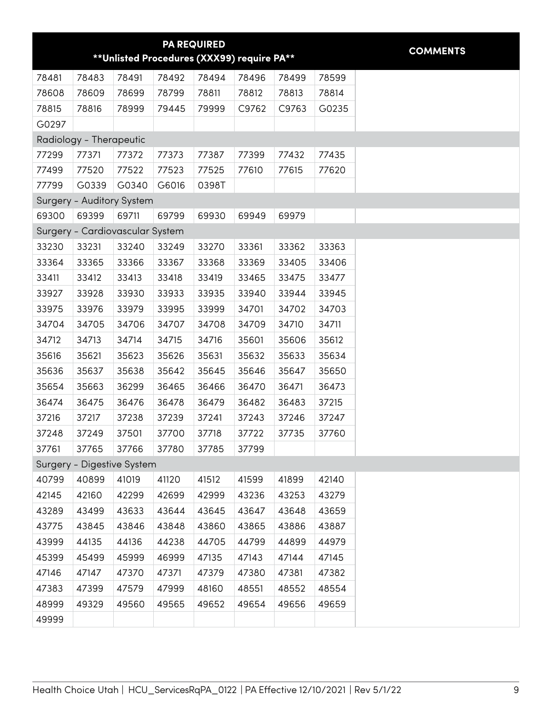<span id="page-8-0"></span>

|       |                                 |       |       | <b>PA REQUIRED</b> | ** Unlisted Procedures (XXX99) require PA** |       |       | <b>COMMENTS</b> |
|-------|---------------------------------|-------|-------|--------------------|---------------------------------------------|-------|-------|-----------------|
| 78481 | 78483                           | 78491 | 78492 | 78494              | 78496                                       | 78499 | 78599 |                 |
| 78608 | 78609                           | 78699 | 78799 | 78811              | 78812                                       | 78813 | 78814 |                 |
| 78815 | 78816                           | 78999 | 79445 | 79999              | C9762                                       | C9763 | G0235 |                 |
| G0297 |                                 |       |       |                    |                                             |       |       |                 |
|       | Radiology - Therapeutic         |       |       |                    |                                             |       |       |                 |
| 77299 | 77371                           | 77372 | 77373 | 77387              | 77399                                       | 77432 | 77435 |                 |
| 77499 | 77520                           | 77522 | 77523 | 77525              | 77610                                       | 77615 | 77620 |                 |
| 77799 | G0339                           | G0340 | G6016 | 0398T              |                                             |       |       |                 |
|       | Surgery - Auditory System       |       |       |                    |                                             |       |       |                 |
| 69300 | 69399                           | 69711 | 69799 | 69930              | 69949                                       | 69979 |       |                 |
|       | Surgery - Cardiovascular System |       |       |                    |                                             |       |       |                 |
| 33230 | 33231                           | 33240 | 33249 | 33270              | 33361                                       | 33362 | 33363 |                 |
| 33364 | 33365                           | 33366 | 33367 | 33368              | 33369                                       | 33405 | 33406 |                 |
| 33411 | 33412                           | 33413 | 33418 | 33419              | 33465                                       | 33475 | 33477 |                 |
| 33927 | 33928                           | 33930 | 33933 | 33935              | 33940                                       | 33944 | 33945 |                 |
| 33975 | 33976                           | 33979 | 33995 | 33999              | 34701                                       | 34702 | 34703 |                 |
| 34704 | 34705                           | 34706 | 34707 | 34708              | 34709                                       | 34710 | 34711 |                 |
| 34712 | 34713                           | 34714 | 34715 | 34716              | 35601                                       | 35606 | 35612 |                 |
| 35616 | 35621                           | 35623 | 35626 | 35631              | 35632                                       | 35633 | 35634 |                 |
| 35636 | 35637                           | 35638 | 35642 | 35645              | 35646                                       | 35647 | 35650 |                 |
| 35654 | 35663                           | 36299 | 36465 | 36466              | 36470                                       | 36471 | 36473 |                 |
| 36474 | 36475                           | 36476 | 36478 | 36479              | 36482                                       | 36483 | 37215 |                 |
| 37216 | 37217                           | 37238 | 37239 | 37241              | 37243                                       | 37246 | 37247 |                 |
| 37248 | 37249                           | 37501 | 37700 | 37718              | 37722                                       | 37735 | 37760 |                 |
| 37761 | 37765                           | 37766 | 37780 | 37785              | 37799                                       |       |       |                 |
|       | Surgery - Digestive System      |       |       |                    |                                             |       |       |                 |
| 40799 | 40899                           | 41019 | 41120 | 41512              | 41599                                       | 41899 | 42140 |                 |
| 42145 | 42160                           | 42299 | 42699 | 42999              | 43236                                       | 43253 | 43279 |                 |
| 43289 | 43499                           | 43633 | 43644 | 43645              | 43647                                       | 43648 | 43659 |                 |
| 43775 | 43845                           | 43846 | 43848 | 43860              | 43865                                       | 43886 | 43887 |                 |
| 43999 | 44135                           | 44136 | 44238 | 44705              | 44799                                       | 44899 | 44979 |                 |
| 45399 | 45499                           | 45999 | 46999 | 47135              | 47143                                       | 47144 | 47145 |                 |
| 47146 | 47147                           | 47370 | 47371 | 47379              | 47380                                       | 47381 | 47382 |                 |
| 47383 | 47399                           | 47579 | 47999 | 48160              | 48551                                       | 48552 | 48554 |                 |
| 48999 | 49329                           | 49560 | 49565 | 49652              | 49654                                       | 49656 | 49659 |                 |
| 49999 |                                 |       |       |                    |                                             |       |       |                 |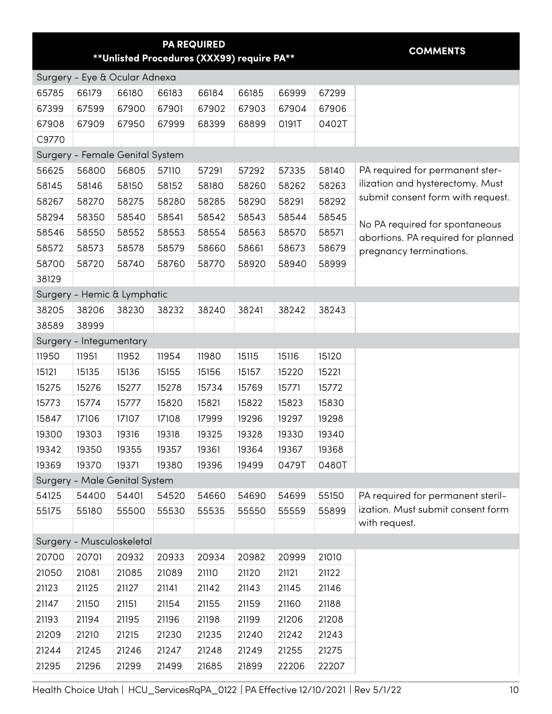<span id="page-9-0"></span>

|       |                                 | ** Unlisted Procedures (XXX99) require PA** |       | <b>PA REQUIRED</b> |       |       |       | <b>COMMENTS</b>                    |
|-------|---------------------------------|---------------------------------------------|-------|--------------------|-------|-------|-------|------------------------------------|
|       | Surgery - Eye & Ocular Adnexa   |                                             |       |                    |       |       |       |                                    |
| 65785 | 66179                           | 66180                                       | 66183 | 66184              | 66185 | 66999 | 67299 |                                    |
| 67399 | 67599                           | 67900                                       | 67901 | 67902              | 67903 | 67904 | 67906 |                                    |
| 67908 | 67909                           | 67950                                       | 67999 | 68399              | 68899 | 0191T | 0402T |                                    |
| C9770 |                                 |                                             |       |                    |       |       |       |                                    |
|       | Surgery - Female Genital System |                                             |       |                    |       |       |       |                                    |
| 56625 | 56800                           | 56805                                       | 57110 | 57291              | 57292 | 57335 | 58140 | PA required for permanent ster-    |
| 58145 | 58146                           | 58150                                       | 58152 | 58180              | 58260 | 58262 | 58263 | ilization and hysterectomy. Must   |
| 58267 | 58270                           | 58275                                       | 58280 | 58285              | 58290 | 58291 | 58292 | submit consent form with request.  |
| 58294 | 58350                           | 58540                                       | 58541 | 58542              | 58543 | 58544 | 58545 | No PA required for spontaneous     |
| 58546 | 58550                           | 58552                                       | 58553 | 58554              | 58563 | 58570 | 58571 | abortions. PA required for planned |
| 58572 | 58573                           | 58578                                       | 58579 | 58660              | 58661 | 58673 | 58679 | pregnancy terminations.            |
| 58700 | 58720                           | 58740                                       | 58760 | 58770              | 58920 | 58940 | 58999 |                                    |
| 38129 |                                 |                                             |       |                    |       |       |       |                                    |
|       | Surgery - Hemic & Lymphatic     |                                             |       |                    |       |       |       |                                    |
| 38205 | 38206                           | 38230                                       | 38232 | 38240              | 38241 | 38242 | 38243 |                                    |
| 38589 | 38999                           |                                             |       |                    |       |       |       |                                    |
|       | Surgery - Integumentary         |                                             |       |                    |       |       |       |                                    |
| 11950 | 11951                           | 11952                                       | 11954 | 11980              | 15115 | 15116 | 15120 |                                    |
| 15121 | 15135                           | 15136                                       | 15155 | 15156              | 15157 | 15220 | 15221 |                                    |
| 15275 | 15276                           | 15277                                       | 15278 | 15734              | 15769 | 15771 | 15772 |                                    |
| 15773 | 15774                           | 15777                                       | 15820 | 15821              | 15822 | 15823 | 15830 |                                    |
| 15847 | 17106                           | 17107                                       | 17108 | 17999              | 19296 | 19297 | 19298 |                                    |
| 19300 | 19303                           | 19316                                       | 19318 | 19325              | 19328 | 19330 | 19340 |                                    |
| 19342 | 19350                           | 19355                                       | 19357 | 19361              | 19364 | 19367 | 19368 |                                    |
| 19369 | 19370                           | 19371                                       | 19380 | 19396              | 19499 | 0479T | 0480T |                                    |
|       | Surgery - Male Genital System   |                                             |       |                    |       |       |       |                                    |
| 54125 | 54400                           | 54401                                       | 54520 | 54660              | 54690 | 54699 | 55150 | PA required for permanent steril-  |
| 55175 | 55180                           | 55500                                       | 55530 | 55535              | 55550 | 55559 | 55899 | ization. Must submit consent form  |
|       |                                 |                                             |       |                    |       |       |       | with request.                      |
|       | Surgery - Musculoskeletal       |                                             |       |                    |       |       |       |                                    |
| 20700 | 20701                           | 20932                                       | 20933 | 20934              | 20982 | 20999 | 21010 |                                    |
| 21050 | 21081                           | 21085                                       | 21089 | 21110              | 21120 | 21121 | 21122 |                                    |
| 21123 | 21125                           | 21127                                       | 21141 | 21142              | 21143 | 21145 | 21146 |                                    |
| 21147 | 21150                           | 21151                                       | 21154 | 21155              | 21159 | 21160 | 21188 |                                    |
| 21193 | 21194                           | 21195                                       | 21196 | 21198              | 21199 | 21206 | 21208 |                                    |
| 21209 | 21210                           | 21215                                       | 21230 | 21235              | 21240 | 21242 | 21243 |                                    |
| 21244 | 21245                           | 21246                                       | 21247 | 21248              | 21249 | 21255 | 21275 |                                    |
| 21295 | 21296                           | 21299                                       | 21499 | 21685              | 21899 | 22206 | 22207 |                                    |

Health Choice Utah | HCU\_ServicesRqPA\_0122 | PA Effective 12/10/2021 | Rev 5/1/22 10 10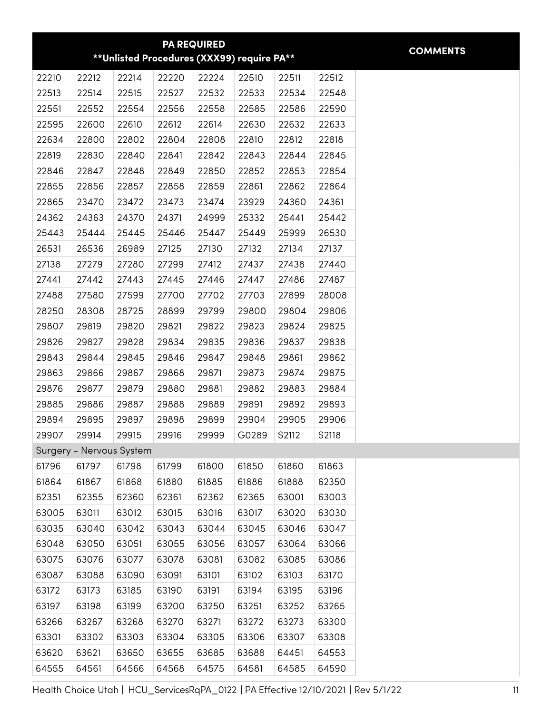<span id="page-10-0"></span>

|                |                          |                |                                            | <b>PA REQUIRED</b> |                |                |                |
|----------------|--------------------------|----------------|--------------------------------------------|--------------------|----------------|----------------|----------------|
|                |                          |                | **Unlisted Procedures (XXX99) require PA** |                    |                |                |                |
| 22210          | 22212                    | 22214          | 22220                                      | 22224              | 22510          | 22511          | 22512          |
| 22513          | 22514                    | 22515          | 22527                                      | 22532              | 22533          | 22534          | 22548          |
| 22551          | 22552                    | 22554          | 22556                                      | 22558              | 22585          | 22586          | 22590          |
| 22595          | 22600                    | 22610          | 22612                                      | 22614              | 22630          | 22632          | 22633          |
| 22634          | 22800                    | 22802          | 22804                                      | 22808              | 22810          | 22812          | 22818          |
| 22819          | 22830                    | 22840          | 22841                                      | 22842              | 22843          | 22844          | 22845          |
| 22846          | 22847                    | 22848          | 22849                                      | 22850              | 22852          | 22853          | 22854          |
| 22855          | 22856                    | 22857          | 22858                                      | 22859              | 22861          | 22862          | 22864          |
| 22865          | 23470                    | 23472          | 23473                                      | 23474              | 23929          | 24360          | 24361          |
| 24362          | 24363                    | 24370          | 24371                                      | 24999              | 25332          | 25441          | 25442          |
| 25443          | 25444                    | 25445          | 25446                                      | 25447              | 25449          | 25999          | 26530          |
| 26531          | 26536                    | 26989          | 27125                                      | 27130              | 27132          | 27134          | 27137          |
| 27138          | 27279                    | 27280          | 27299                                      | 27412              | 27437          | 27438          | 27440          |
| 27441          | 27442                    | 27443          | 27445                                      | 27446              | 27447          | 27486          | 27487          |
| 27488          | 27580                    | 27599          | 27700                                      | 27702              | 27703          | 27899          | 28008          |
| 28250          | 28308                    | 28725          | 28899                                      | 29799              | 29800          | 29804          | 29806          |
| 29807          | 29819                    | 29820          | 29821                                      | 29822              | 29823          | 29824          | 29825          |
| 29826          | 29827                    | 29828          | 29834                                      | 29835              | 29836          | 29837          | 29838          |
| 29843          | 29844                    | 29845          | 29846                                      | 29847              | 29848          | 29861          | 29862          |
| 29863          | 29866                    | 29867          | 29868                                      | 29871              | 29873          | 29874          | 29875          |
| 29876          | 29877                    | 29879          | 29880                                      | 29881              | 29882          | 29883          | 29884          |
| 29885          | 29886                    | 29887          | 29888                                      | 29889              | 29891          | 29892          | 29893          |
| 29894          | 29895                    | 29897          | 29898                                      | 29899              | 29904          | 29905          | 29906          |
| 29907          | 29914                    | 29915          | 29916                                      | 29999              | G0289          | S2112          | S2118          |
|                | Surgery - Nervous System |                |                                            |                    |                |                |                |
| 61796          | 61797                    | 61798          | 61799                                      | 61800              | 61850          | 61860          | 61863          |
| 61864          | 61867                    | 61868          | 61880                                      | 61885              | 61886          | 61888          | 62350          |
| 62351          | 62355                    | 62360          | 62361                                      | 62362              | 62365          | 63001          | 63003          |
| 63005          | 63011                    | 63012          | 63015                                      | 63016              | 63017          | 63020          | 63030          |
| 63035          | 63040                    | 63042          | 63043                                      | 63044              | 63045          | 63046          | 63047          |
| 63048          | 63050                    | 63051          | 63055                                      | 63056              | 63057          | 63064          | 63066          |
| 63075          | 63076                    | 63077          | 63078                                      | 63081              | 63082          | 63085          | 63086          |
| 63087          | 63088                    | 63090          | 63091                                      | 63101              | 63102          | 63103          | 63170          |
| 63172          | 63173                    | 63185          | 63190                                      | 63191              | 63194          | 63195          | 63196          |
| 63197          | 63198                    | 63199          | 63200                                      | 63250              | 63251          | 63252          | 63265          |
| 63266          | 63267                    | 63268          | 63270                                      | 63271              | 63272          | 63273          | 63300          |
| 63301          | 63302                    | 63303          | 63304                                      | 63305              | 63306          | 63307          | 63308          |
|                |                          |                |                                            |                    |                |                |                |
| 63620<br>64555 | 63621<br>64561           | 63650<br>64566 | 63655<br>64568                             | 63685<br>64575     | 63688<br>64581 | 64451<br>64585 | 64553<br>64590 |